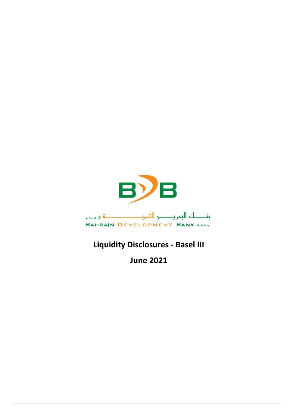

## **Liquidity Disclosures - Basel III**

**June 2021**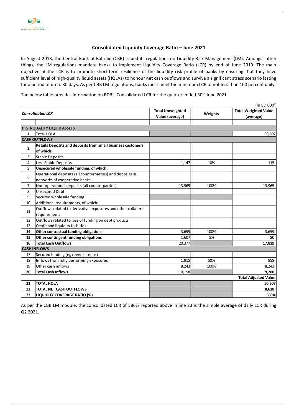## **Consolidated Liquidity Coverage Ratio – June 2021**

In August 2018, the Central Bank of Bahrain (CBB) issued its regulations on Liquidity Risk Management (LM). Amongst other things, the LM regulations mandate banks to implement Liquidity Coverage Ratio (LCR) by end of June 2019. The main objective of the LCR is to promote short-term resilience of the liquidity risk profile of banks by ensuring that they have sufficient level of high-quality liquid assets (HQLAs) to honour net cash outflows and survive a significant stress scenario lasting for a period of up to 30 days. As per CBB LM regulations, banks must meet the minimum LCR of not less than 100 percent daily.

The below table provides information on BDB's Consolidated LCR for the quarter ended 30<sup>th</sup> June 2021.

| (In BD 000')                |                                                               |                         |         |                             |  |  |  |  |
|-----------------------------|---------------------------------------------------------------|-------------------------|---------|-----------------------------|--|--|--|--|
| <b>Consolidated LCR</b>     |                                                               | <b>Total Unweighted</b> | Weights | <b>Total Weighted Value</b> |  |  |  |  |
|                             |                                                               | Value (average)         |         | (average)                   |  |  |  |  |
|                             | <b>HIGH-QUALITY LIQUID ASSETS</b>                             |                         |         |                             |  |  |  |  |
| $\mathbf{1}$                | <b>Total HQLA</b>                                             |                         |         | 50,507                      |  |  |  |  |
|                             | <b>CASH OUTFLOWS</b>                                          |                         |         |                             |  |  |  |  |
| $\overline{2}$              | Retails Deposits and deposits from small business customers,  |                         |         |                             |  |  |  |  |
|                             | of which:                                                     |                         |         |                             |  |  |  |  |
| 3                           | Stable Deposits                                               |                         |         |                             |  |  |  |  |
| 4                           | Less Stable Deposits                                          | 1,147                   | 10%     | 115                         |  |  |  |  |
| 5                           | Unsecured wholesale funding, of which:                        |                         |         |                             |  |  |  |  |
| 6                           | Operational deposits (all counterparties) and deposits in     |                         |         |                             |  |  |  |  |
|                             | networks of cooperative banks                                 |                         |         |                             |  |  |  |  |
| $\overline{7}$              | Non-operational deposits (all counterparties)                 | 13,965                  | 100%    | 13,965                      |  |  |  |  |
| 8                           | <b>Unsecured Debt</b>                                         |                         |         |                             |  |  |  |  |
| 9                           | Secured wholesale funding                                     |                         |         |                             |  |  |  |  |
| 10                          | Additional requirements, of which:                            |                         |         |                             |  |  |  |  |
| 11                          | Outflows related to derivative exposures and other collateral |                         |         |                             |  |  |  |  |
|                             | requirements                                                  |                         |         |                             |  |  |  |  |
| 12                          | Outflows related to loss of funding on debt products          |                         |         |                             |  |  |  |  |
| 13                          | Credit and liquidity facilities                               |                         |         |                             |  |  |  |  |
| 14                          | Other contractual funding obligations                         | 3,659                   | 100%    | 3,659                       |  |  |  |  |
| 15                          | Other contingent funding obligations                          | 1,607                   | 5%      | 80                          |  |  |  |  |
| 16                          | <b>Total Cash Outflows</b>                                    | 20,377                  |         | 17,819                      |  |  |  |  |
|                             | <b>CASH INFLOWS</b>                                           |                         |         |                             |  |  |  |  |
| 17                          | Secured lending (eg reverse repos)                            |                         |         |                             |  |  |  |  |
| 18                          | Inflows from fully performing exposures                       | 1.915                   | 50%     | 958                         |  |  |  |  |
| 19                          | Other cash inflows                                            | 8,243                   | 100%    | 8,243                       |  |  |  |  |
| 20                          | <b>Total Cash Inflows</b>                                     | 10,158                  |         | 9,200                       |  |  |  |  |
| <b>Total Adjusted Value</b> |                                                               |                         |         |                             |  |  |  |  |
| 21                          | <b>TOTAL HQLA</b>                                             |                         |         | 50,507                      |  |  |  |  |
| 22                          | <b>TOTAL NET CASH OUTFLOWS</b>                                |                         |         | 8,618                       |  |  |  |  |
| 23                          | <b>LIQUIDITY COVERAGE RATIO (%)</b>                           |                         |         | 586%                        |  |  |  |  |

As per the CBB LM module, the consolidated LCR of 586% reported above in line 23 is the simple average of daily LCR during Q2 2021.